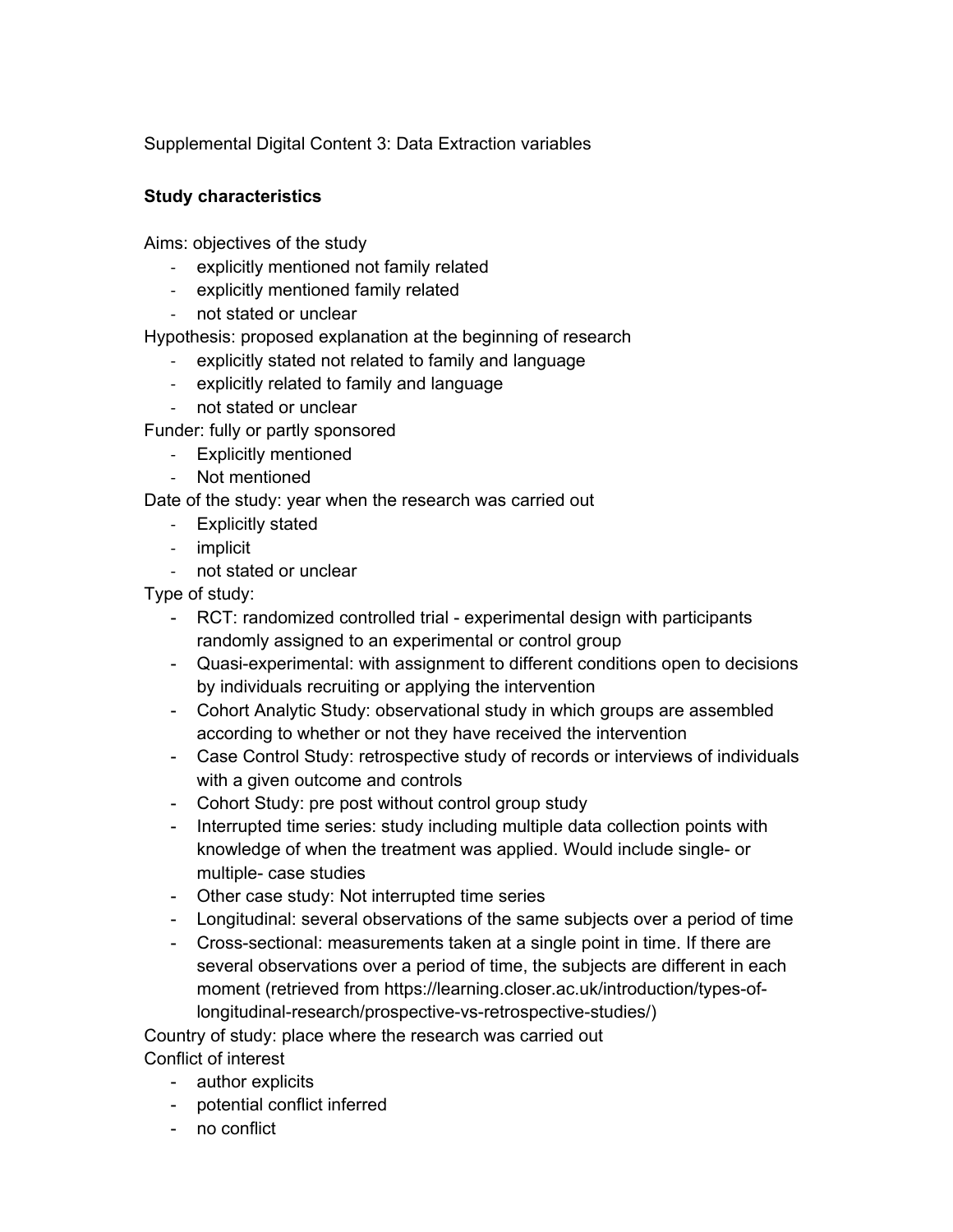Supplemental Digital Content 3: Data Extraction variables

### **Study characteristics**

Aims: objectives of the study

- ‐ explicitly mentioned not family related
- ‐ explicitly mentioned family related
- ‐ not stated or unclear

Hypothesis: proposed explanation at the beginning of research

- ‐ explicitly stated not related to family and language
- ‐ explicitly related to family and language
- ‐ not stated or unclear

Funder: fully or partly sponsored

- ‐ Explicitly mentioned
- ‐ Not mentioned

Date of the study: year when the research was carried out

- ‐ Explicitly stated
- ‐ implicit
- ‐ not stated or unclear

Type of study:

- RCT: randomized controlled trial experimental design with participants randomly assigned to an experimental or control group
- Quasi-experimental: with assignment to different conditions open to decisions by individuals recruiting or applying the intervention
- Cohort Analytic Study: observational study in which groups are assembled according to whether or not they have received the intervention
- Case Control Study: retrospective study of records or interviews of individuals with a given outcome and controls
- Cohort Study: pre post without control group study
- Interrupted time series: study including multiple data collection points with knowledge of when the treatment was applied. Would include single- or multiple- case studies
- Other case study: Not interrupted time series
- Longitudinal: several observations of the same subjects over a period of time
- Cross-sectional: measurements taken at a single point in time. If there are several observations over a period of time, the subjects are different in each moment (retrieved from https://learning.closer.ac.uk/introduction/types-oflongitudinal-research/prospective-vs-retrospective-studies/)

Country of study: place where the research was carried out Conflict of interest

- author explicits
- potential conflict inferred
- no conflict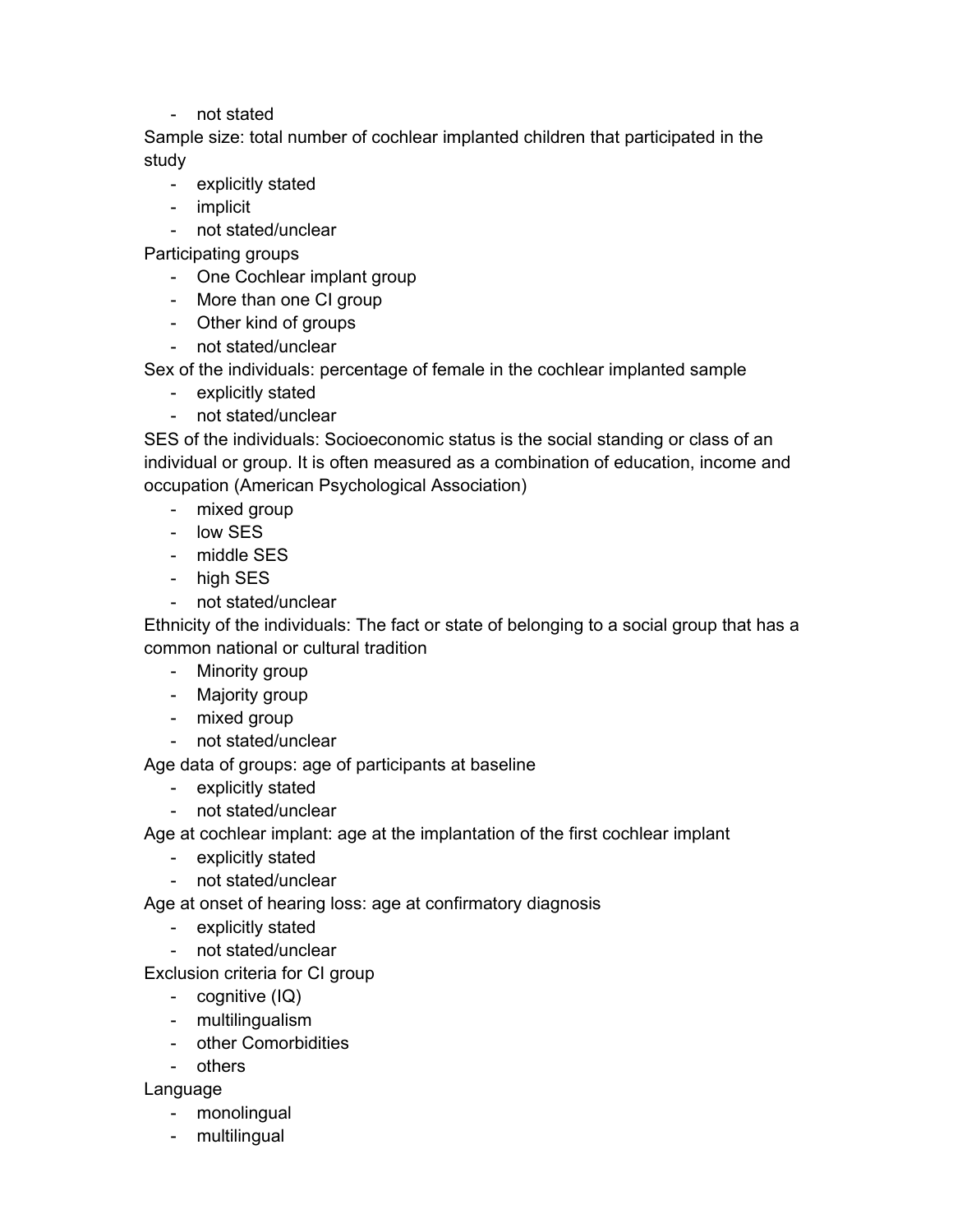- not stated

Sample size: total number of cochlear implanted children that participated in the study

- explicitly stated
- implicit

- not stated/unclear

Participating groups

- One Cochlear implant group
- More than one CI group
- Other kind of groups
- not stated/unclear

Sex of the individuals: percentage of female in the cochlear implanted sample

- explicitly stated
- not stated/unclear

SES of the individuals: Socioeconomic status is the social standing or class of an individual or group. It is often measured as a combination of education, income and occupation (American Psychological Association)

- mixed group
- low SES
- middle SES
- high SES
- not stated/unclear

Ethnicity of the individuals: The fact or state of belonging to a social group that has a common national or cultural tradition

- Minority group
- Majority group
- mixed group
- not stated/unclear

Age data of groups: age of participants at baseline

- explicitly stated
- not stated/unclear

Age at cochlear implant: age at the implantation of the first cochlear implant

- explicitly stated
- not stated/unclear

Age at onset of hearing loss: age at confirmatory diagnosis

- explicitly stated
- not stated/unclear

Exclusion criteria for CI group

- cognitive (IQ)
- multilingualism
- other Comorbidities
- others

Language

- monolingual
- multilingual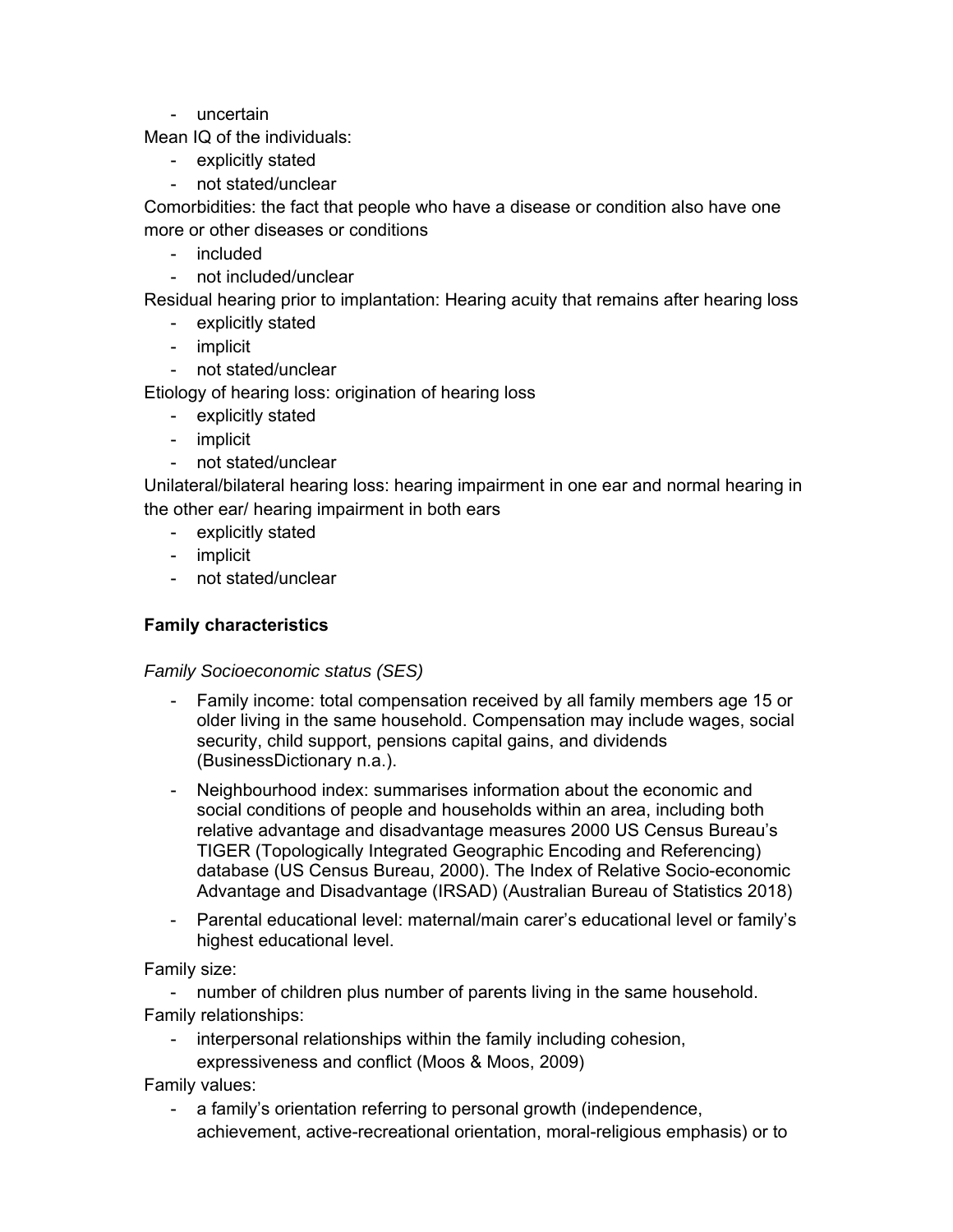- uncertain

Mean IQ of the individuals:

- explicitly stated
- not stated/unclear

Comorbidities: the fact that people who have a disease or condition also have one more or other diseases or conditions

- included
- not included/unclear

Residual hearing prior to implantation: Hearing acuity that remains after hearing loss

- explicitly stated
- implicit
- not stated/unclear

Etiology of hearing loss: origination of hearing loss

- explicitly stated
- implicit
- not stated/unclear

Unilateral/bilateral hearing loss: hearing impairment in one ear and normal hearing in the other ear/ hearing impairment in both ears

- explicitly stated
- implicit
- not stated/unclear

## **Family characteristics**

*Family Socioeconomic status (SES)* 

- Family income: total compensation received by all family members age 15 or older living in the same household. Compensation may include wages, social security, child support, pensions capital gains, and dividends (BusinessDictionary n.a.).
- Neighbourhood index: summarises information about the economic and social conditions of people and households within an area, including both relative advantage and disadvantage measures 2000 US Census Bureau's TIGER (Topologically Integrated Geographic Encoding and Referencing) database (US Census Bureau, 2000). The Index of Relative Socio-economic Advantage and Disadvantage (IRSAD) (Australian Bureau of Statistics 2018)
- Parental educational level: maternal/main carer's educational level or family's highest educational level.

Family size:

- number of children plus number of parents living in the same household. Family relationships:

- interpersonal relationships within the family including cohesion, expressiveness and conflict (Moos & Moos, 2009)

Family values:

- a family's orientation referring to personal growth (independence, achievement, active-recreational orientation, moral-religious emphasis) or to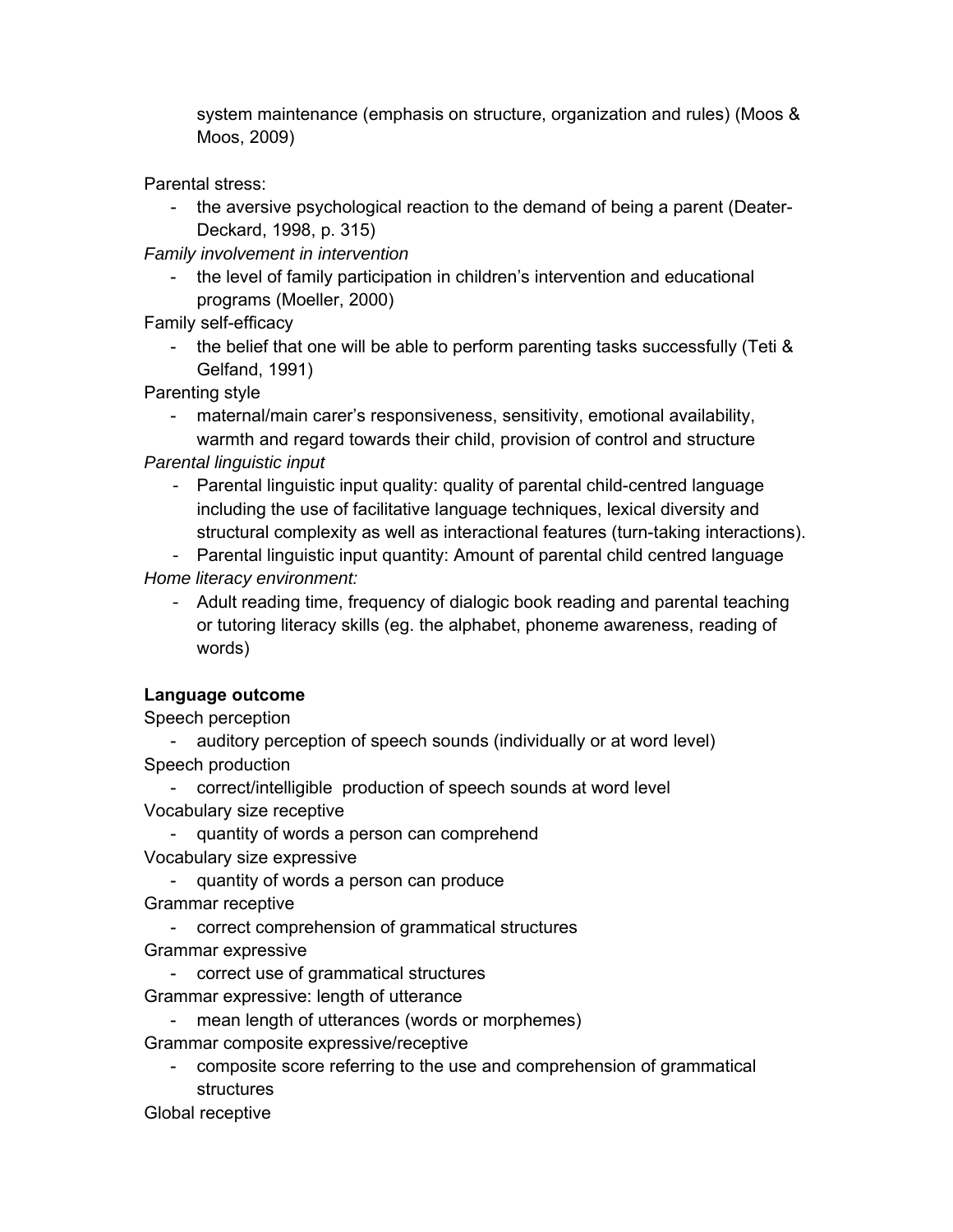system maintenance (emphasis on structure, organization and rules) (Moos & Moos, 2009)

Parental stress:

- the aversive psychological reaction to the demand of being a parent (Deater-Deckard, 1998, p. 315)

*Family involvement in intervention* 

- the level of family participation in children's intervention and educational programs (Moeller, 2000)

Family self-efficacy

- the belief that one will be able to perform parenting tasks successfully (Teti & Gelfand, 1991)

Parenting style

- maternal/main carer's responsiveness, sensitivity, emotional availability, warmth and regard towards their child, provision of control and structure

*Parental linguistic input* 

- Parental linguistic input quality: quality of parental child-centred language including the use of facilitative language techniques, lexical diversity and structural complexity as well as interactional features (turn-taking interactions).
- Parental linguistic input quantity: Amount of parental child centred language *Home literacy environment:*
	- Adult reading time, frequency of dialogic book reading and parental teaching or tutoring literacy skills (eg. the alphabet, phoneme awareness, reading of words)

# **Language outcome**

Speech perception

- auditory perception of speech sounds (individually or at word level) Speech production

- correct/intelligible production of speech sounds at word level Vocabulary size receptive
- quantity of words a person can comprehend Vocabulary size expressive
	- quantity of words a person can produce
- Grammar receptive
- correct comprehension of grammatical structures
- Grammar expressive
	- correct use of grammatical structures
- Grammar expressive: length of utterance
	- mean length of utterances (words or morphemes)

Grammar composite expressive/receptive

- composite score referring to the use and comprehension of grammatical structures

Global receptive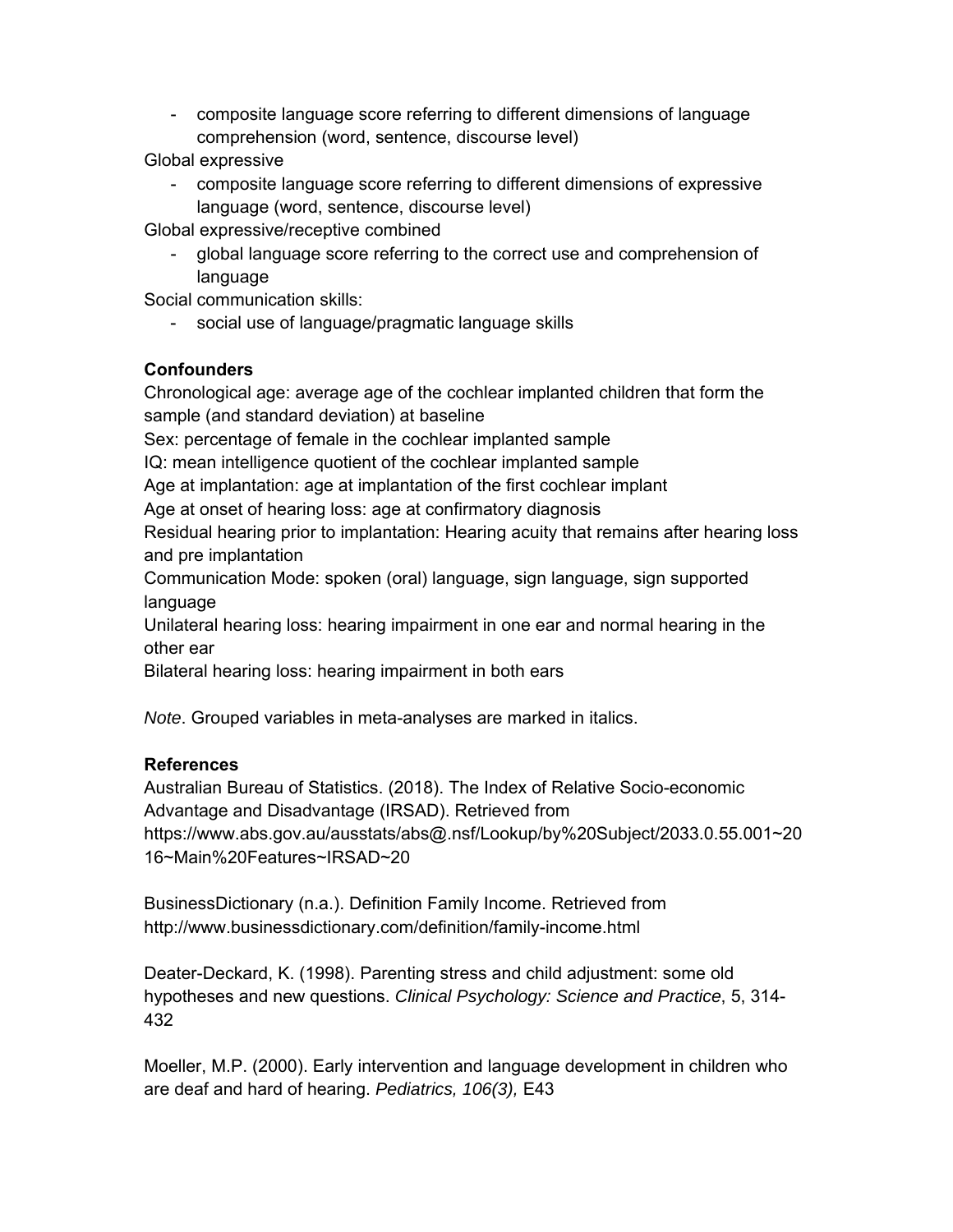- composite language score referring to different dimensions of language comprehension (word, sentence, discourse level)

Global expressive

- composite language score referring to different dimensions of expressive language (word, sentence, discourse level)

Global expressive/receptive combined

- global language score referring to the correct use and comprehension of language

Social communication skills:

- social use of language/pragmatic language skills

### **Confounders**

Chronological age: average age of the cochlear implanted children that form the sample (and standard deviation) at baseline

Sex: percentage of female in the cochlear implanted sample

IQ: mean intelligence quotient of the cochlear implanted sample

Age at implantation: age at implantation of the first cochlear implant

Age at onset of hearing loss: age at confirmatory diagnosis

Residual hearing prior to implantation: Hearing acuity that remains after hearing loss and pre implantation

Communication Mode: spoken (oral) language, sign language, sign supported language

Unilateral hearing loss: hearing impairment in one ear and normal hearing in the other ear

Bilateral hearing loss: hearing impairment in both ears

*Note*. Grouped variables in meta-analyses are marked in italics.

### **References**

Australian Bureau of Statistics. (2018). The Index of Relative Socio-economic Advantage and Disadvantage (IRSAD). Retrieved from https://www.abs.gov.au/ausstats/abs@.nsf/Lookup/by%20Subject/2033.0.55.001~20 16~Main%20Features~IRSAD~20

BusinessDictionary (n.a.). Definition Family Income. Retrieved from http://www.businessdictionary.com/definition/family-income.html

Deater-Deckard, K. (1998). Parenting stress and child adjustment: some old hypotheses and new questions. *Clinical Psychology: Science and Practice*, 5, 314- 432

Moeller, M.P. (2000). Early intervention and language development in children who are deaf and hard of hearing. *Pediatrics, 106(3),* E43